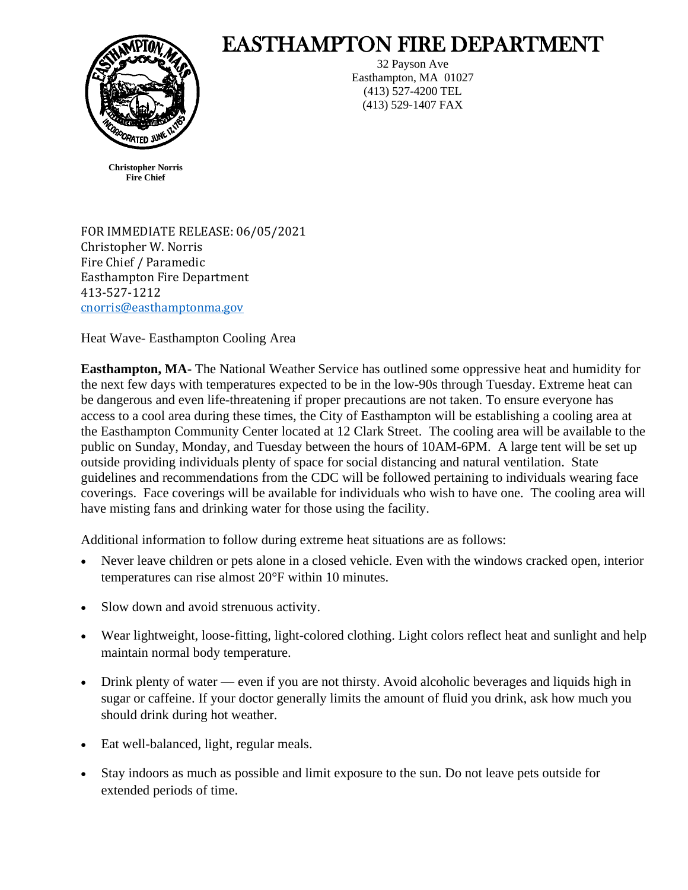

## EASTHAMPTON FIRE DEPARTMENT

32 Payson Ave Easthampton, MA 01027 (413) 527-4200 TEL (413) 529-1407 FAX

**Christopher Norris Fire Chief**

FOR IMMEDIATE RELEASE: 06/05/2021 Christopher W. Norris Fire Chief / Paramedic Easthampton Fire Department 413-527-1212 [cnorris@easthamptonma.gov](mailto:cnorris@easthamptonma.gov)

Heat Wave- Easthampton Cooling Area

**Easthampton, MA-** The National Weather Service has outlined some oppressive heat and humidity for the next few days with temperatures expected to be in the low-90s through Tuesday. Extreme heat can be dangerous and even life-threatening if proper precautions are not taken. To ensure everyone has access to a cool area during these times, the City of Easthampton will be establishing a cooling area at the Easthampton Community Center located at 12 Clark Street. The cooling area will be available to the public on Sunday, Monday, and Tuesday between the hours of 10AM-6PM. A large tent will be set up outside providing individuals plenty of space for social distancing and natural ventilation. State guidelines and recommendations from the CDC will be followed pertaining to individuals wearing face coverings. Face coverings will be available for individuals who wish to have one. The cooling area will have misting fans and drinking water for those using the facility.

Additional information to follow during extreme heat situations are as follows:

- Never leave children or pets alone in a closed vehicle. Even with the windows cracked open, interior temperatures can rise almost 20°F within 10 minutes.
- Slow down and avoid strenuous activity.
- Wear lightweight, loose-fitting, light-colored clothing. Light colors reflect heat and sunlight and help maintain normal body temperature.
- Drink plenty of water even if you are not thirsty. Avoid alcoholic beverages and liquids high in sugar or caffeine. If your doctor generally limits the amount of fluid you drink, ask how much you should drink during hot weather.
- Eat well-balanced, light, regular meals.
- Stay indoors as much as possible and limit exposure to the sun. Do not leave pets outside for extended periods of time.